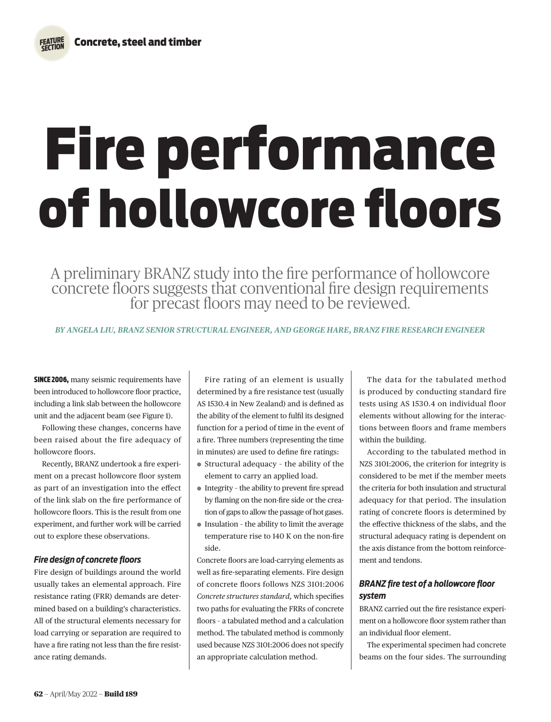# Fire performance of hollowcore floors

A preliminary BRANZ study into the fire performance of hollowcore concrete floors suggests that conventional fire design requirements for precast floors may need to be reviewed.

*BY ANGELA LIU, BRANZ SENIOR STRUCTURAL ENGINEER, AND GEORGE HARE, BRANZ FIRE RESEARCH ENGINEER*

**SINCE 2006, many seismic requirements have** been introduced to hollowcore floor practice, including a link slab between the hollowcore unit and the adjacent beam (see Figure 1).

Following these changes, concerns have been raised about the fire adequacy of hollowcore floors.

Recently, BRANZ undertook a fire experiment on a precast hollowcore floor system as part of an investigation into the effect of the link slab on the fire performance of hollowcore floors. This is the result from one experiment, and further work will be carried out to explore these observations.

# *Fire design of concrete floors*

Fire design of buildings around the world usually takes an elemental approach. Fire resistance rating (FRR) demands are determined based on a building's characteristics. All of the structural elements necessary for load carrying or separation are required to have a fire rating not less than the fire resistance rating demands.

Fire rating of an element is usually determined by a fire resistance test (usually AS 1530.4 in New Zealand) and is defined as the ability of the element to fulfil its designed function for a period of time in the event of a fire. Three numbers (representing the time in minutes) are used to define fire ratings:

- ¬ Structural adequacy the ability of the element to carry an applied load.
- $\bullet$  Integrity the ability to prevent fire spread by flaming on the non-fire side or the creation of gaps to allow the passage of hot gases.
- $\bullet$  Insulation the ability to limit the average temperature rise to 140 K on the non-fire side.

Concrete floors are load-carrying elements as well as fire-separating elements. Fire design of concrete floors follows NZS 3101:2006 *Concrete structures standard,* which specifies two paths for evaluating the FRRs of concrete floors – a tabulated method and a calculation method. The tabulated method is commonly used because NZS 3101:2006 does not specify an appropriate calculation method.

The data for the tabulated method is produced by conducting standard fire tests using AS 1530.4 on individual floor elements without allowing for the interactions between floors and frame members within the building.

According to the tabulated method in NZS 3101:2006, the criterion for integrity is considered to be met if the member meets the criteria for both insulation and structural adequacy for that period. The insulation rating of concrete floors is determined by the effective thickness of the slabs, and the structural adequacy rating is dependent on the axis distance from the bottom reinforcement and tendons.

# *BRANZ fire test of a hollowcore floor system*

BRANZ carried out the fire resistance experiment on a hollowcore floor system rather than an individual floor element.

The experimental specimen had concrete beams on the four sides. The surrounding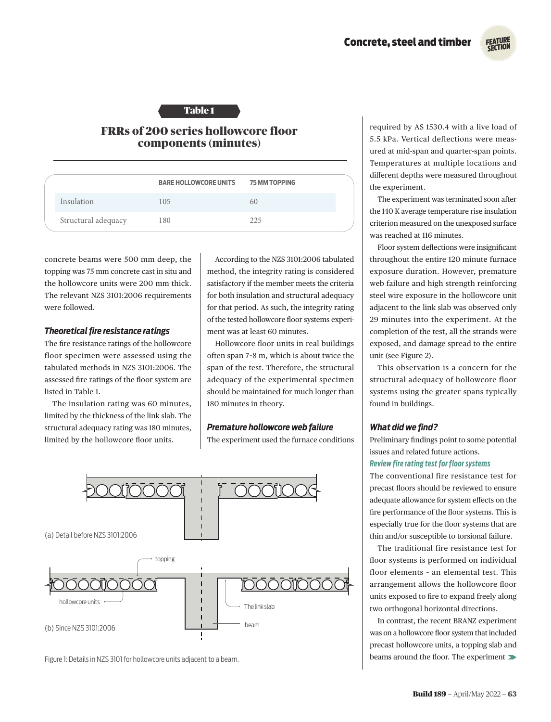

# Table 1

# FRRs of 200 series hollowcore floor components (minutes)

|                     | <b>BARE HOLLOWCORE UNITS</b> | <b>75 MM TOPPING</b> |  |
|---------------------|------------------------------|----------------------|--|
| Insulation          | 105                          | 6()                  |  |
| Structural adequacy | 180                          | 225                  |  |

concrete beams were 500 mm deep, the topping was 75 mm concrete cast in situ and the hollowcore units were 200 mm thick. The relevant NZS 3101:2006 requirements were followed.

### *Theoretical fire resistance ratings*

The fire resistance ratings of the hollowcore floor specimen were assessed using the tabulated methods in NZS 3101:2006. The assessed fire ratings of the floor system are listed in Table 1.

The insulation rating was 60 minutes, limited by the thickness of the link slab. The structural adequacy rating was 180 minutes, limited by the hollowcore floor units.

According to the NZS 3101:2006 tabulated method, the integrity rating is considered satisfactory if the member meets the criteria for both insulation and structural adequacy for that period. As such, the integrity rating of the tested hollowcore floor systems experiment was at least 60 minutes.

Hollowcore floor units in real buildings often span 7–8 m, which is about twice the span of the test. Therefore, the structural adequacy of the experimental specimen should be maintained for much longer than 180 minutes in theory.

### *Premature hollowcore web failure*

The experiment used the furnace conditions



Figure 1: Details in NZS 3101 for hollowcore units adjacent to a beam.

required by AS 1530.4 with a live load of 5.5 kPa. Vertical deflections were measured at mid-span and quarter-span points. Temperatures at multiple locations and different depths were measured throughout the experiment.

The experiment was terminated soon after the 140 K average temperature rise insulation criterion measured on the unexposed surface was reached at 116 minutes.

Floor system deflections were insignificant throughout the entire 120 minute furnace exposure duration. However, premature web failure and high strength reinforcing steel wire exposure in the hollowcore unit adjacent to the link slab was observed only 29 minutes into the experiment. At the completion of the test, all the strands were exposed, and damage spread to the entire unit (see Figure 2).

This observation is a concern for the structural adequacy of hollowcore floor systems using the greater spans typically found in buildings.

# *What did we find?*

Preliminary findings point to some potential issues and related future actions.

## *Review fire rating test for floor systems*

The conventional fire resistance test for precast floors should be reviewed to ensure adequate allowance for system effects on the fire performance of the floor systems. This is especially true for the floor systems that are thin and/or susceptible to torsional failure.

The traditional fire resistance test for floor systems is performed on individual floor elements – an elemental test. This arrangement allows the hollowcore floor units exposed to fire to expand freely along two orthogonal horizontal directions.

In contrast, the recent BRANZ experiment was on a hollowcore floor system that included precast hollowcore units, a topping slab and beams around the floor. The experiment